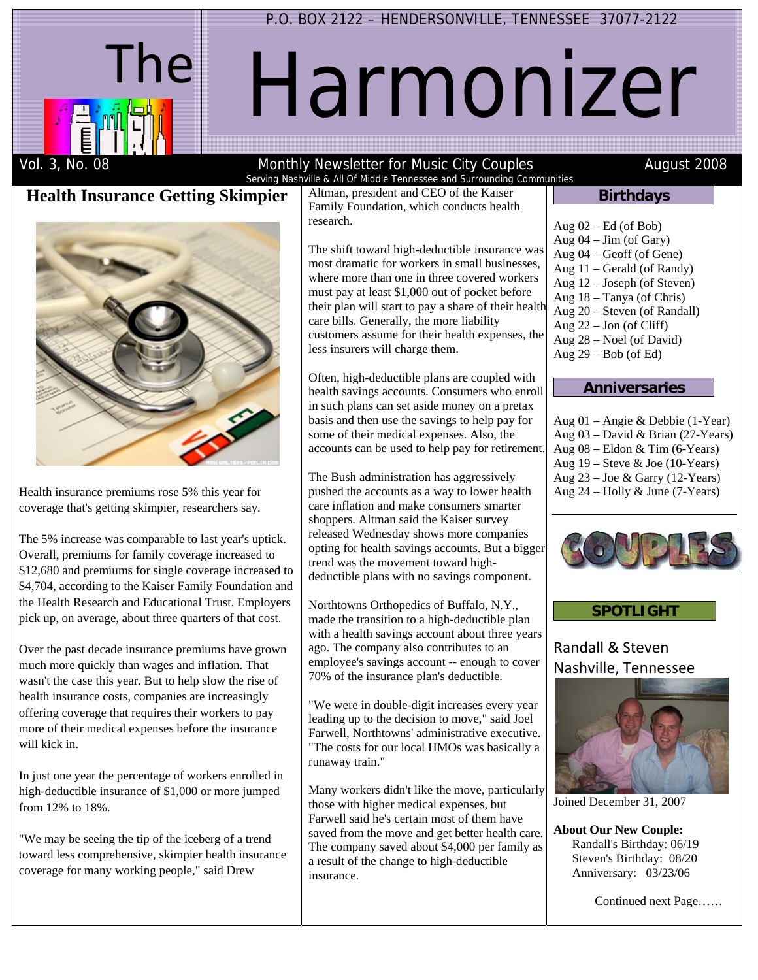

## P.O. BOX 2122 – HENDERSONVILLE, TENNESSEE 37077-2122

# Harmonizer

#### Vol. 3, No. 08 **Monthly Newsletter for Music City Couples** August 2008 Serving Nashville & All Of Middle Tennessee and Surrounding Communities

# **Health Insurance Getting Skimpier**



Health insurance premiums rose 5% this year for coverage that's getting skimpier, researchers say.

The 5% increase was comparable to last year's uptick. Overall, premiums for family coverage increased to \$12,680 and premiums for single coverage increased to \$4,704, according to the Kaiser Family Foundation and the Health Research and Educational Trust. Employers pick up, on average, about three quarters of that cost.

Over the past decade insurance premiums have grown much more quickly than wages and inflation. That wasn't the case this year. But to help slow the rise of health insurance costs, companies are increasingly offering coverage that requires their workers to pay more of their medical expenses before the insurance will kick in.

In just one year the percentage of workers enrolled in high-deductible insurance of \$1,000 or more jumped from 12% to 18%.

"We may be seeing the tip of the iceberg of a trend toward less comprehensive, skimpier health insurance coverage for many working people," said Drew

Altman, president and CEO of the Kaiser Family Foundation, which conducts health research.

The shift toward high-deductible insurance was most dramatic for workers in small businesses, where more than one in three covered workers must pay at least \$1,000 out of pocket before their plan will start to pay a share of their health care bills. Generally, the more liability customers assume for their health expenses, the less insurers will charge them.

Often, high-deductible plans are coupled with health savings accounts. Consumers who enroll in such plans can set aside money on a pretax basis and then use the savings to help pay for some of their medical expenses. Also, the accounts can be used to help pay for retirement.

The Bush administration has aggressively pushed the accounts as a way to lower health care inflation and make consumers smarter shoppers. Altman said the Kaiser survey released Wednesday shows more companies opting for health savings accounts. But a bigger trend was the movement toward highdeductible plans with no savings component.

Northtowns Orthopedics of Buffalo, N.Y., made the transition to a high-deductible plan with a health savings account about three years ago. The company also contributes to an employee's savings account -- enough to cover 70% of the insurance plan's deductible.

"We were in double-digit increases every year leading up to the decision to move," said Joel Farwell, Northtowns' administrative executive. "The costs for our local HMOs was basically a runaway train."

Many workers didn't like the move, particularly those with higher medical expenses, but Farwell said he's certain most of them have saved from the move and get better health care. The company saved about \$4,000 per family as a result of the change to high-deductible insurance.

| <b>Birthdays</b> |  |
|------------------|--|
|                  |  |

Aug  $02 - Ed$  (of Bob) Aug 04 – Jim (of Gary) Aug 04 – Geoff (of Gene) Aug 11 – Gerald (of Randy) Aug 12 – Joseph (of Steven) Aug 18 – Tanya (of Chris) Aug 20 – Steven (of Randall) Aug 22 – Jon (of Cliff) Aug 28 – Noel (of David) Aug 29 – Bob (of Ed)

#### **Anniversaries**

| Aug $01$ – Angie & Debbie (1-Year)                        |
|-----------------------------------------------------------|
| Aug 03 - David & Brian (27-Years)                         |
| Aug $08$ – Eldon & Tim $(6$ -Years)                       |
| Aug $19$ – Steve & Joe (10-Years)                         |
| Aug $23 - \text{Joe} \& \text{Garry} (12 - \text{Years})$ |
| Aug $24$ – Holly & June (7-Years)                         |



## **SPOTLIGHT**

Randall & Steven Nashville, Tennessee



Joined December 31, 2007

**About Our New Couple:** Randall's Birthday: 06/19 Steven's Birthday: 08/20 Anniversary: 03/23/06

Continued next Page……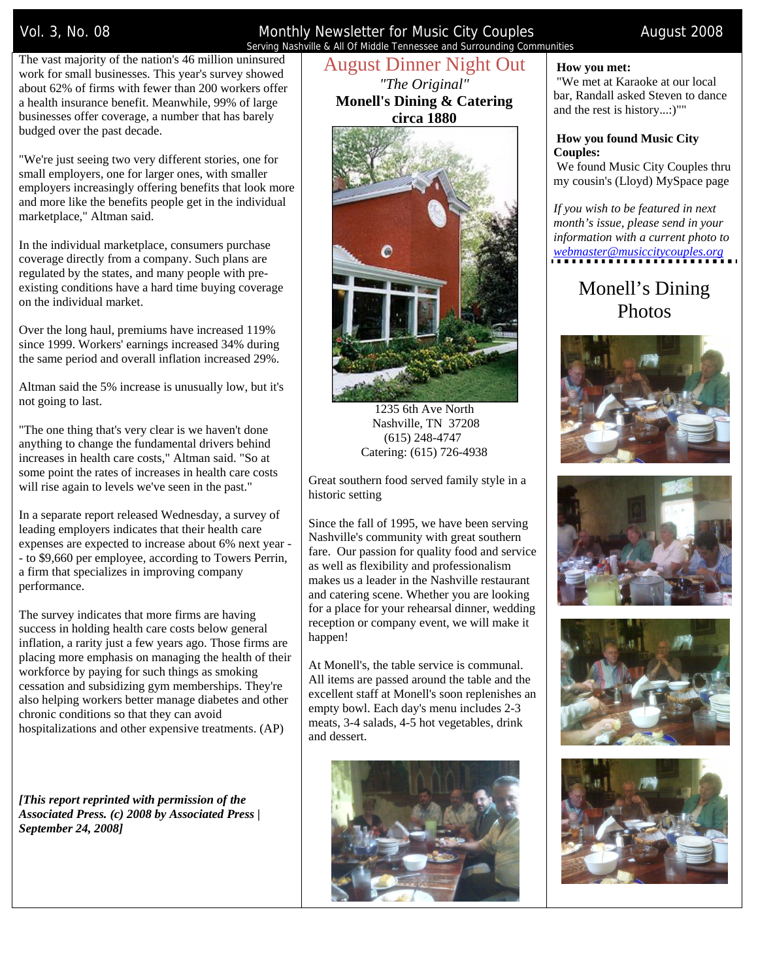Vol. 3, No. 08 Monthly Newsletter for Music City Couples August 2008 Serving Nashville & All Of Middle Tennessee and Surrounding Communities

The vast majority of the nation's 46 million uninsured work for small businesses. This year's survey showed about 62% of firms with fewer than 200 workers offer a health insurance benefit. Meanwhile, 99% of large businesses offer coverage, a number that has barely budged over the past decade.

"We're just seeing two very different stories, one for small employers, one for larger ones, with smaller employers increasingly offering benefits that look more and more like the benefits people get in the individual marketplace," Altman said.

In the individual marketplace, consumers purchase coverage directly from a company. Such plans are regulated by the states, and many people with preexisting conditions have a hard time buying coverage on the individual market.

Over the long haul, premiums have increased 119% since 1999. Workers' earnings increased 34% during the same period and overall inflation increased 29%.

Altman said the 5% increase is unusually low, but it's not going to last.

"The one thing that's very clear is we haven't done anything to change the fundamental drivers behind increases in health care costs," Altman said. "So at some point the rates of increases in health care costs will rise again to levels we've seen in the past."

In a separate report released Wednesday, a survey of leading employers indicates that their health care expenses are expected to increase about 6% next year - - to \$9,660 per employee, according to Towers Perrin, a firm that specializes in improving company performance.

The survey indicates that more firms are having success in holding health care costs below general inflation, a rarity just a few years ago. Those firms are placing more emphasis on managing the health of their workforce by paying for such things as smoking cessation and subsidizing gym memberships. They're also helping workers better manage diabetes and other chronic conditions so that they can avoid hospitalizations and other expensive treatments. (AP)

*[This report reprinted with permission of the Associated Press. (c) 2008 by Associated Press | September 24, 2008]*

# August Dinner Night Out

*"The Original"*  **Monell's Dining & Catering circa 1880**



1235 6th Ave North Nashville, TN 37208 (615) 248-4747 Catering: (615) 726-4938

Great southern food served family style in a historic setting

Since the fall of 1995, we have been serving Nashville's community with great southern fare. Our passion for quality food and service as well as flexibility and professionalism makes us a leader in the Nashville restaurant and catering scene. Whether you are looking for a place for your rehearsal dinner, wedding reception or company event, we will make it happen!

At Monell's, the table service is communal. All items are passed around the table and the excellent staff at Monell's soon replenishes an empty bowl. Each day's menu includes 2-3 meats, 3-4 salads, 4-5 hot vegetables, drink and dessert.



#### **How you met:**

 "We met at Karaoke at our local bar, Randall asked Steven to dance and the rest is history...:)""

#### **How you found Music City Couples:**

 We found Music City Couples thru my cousin's (Lloyd) MySpace page

*If you wish to be featured in next month's issue, please send in your information with a current photo to webmaster@musiccitycouples.org*

# Monell's Dining Photos